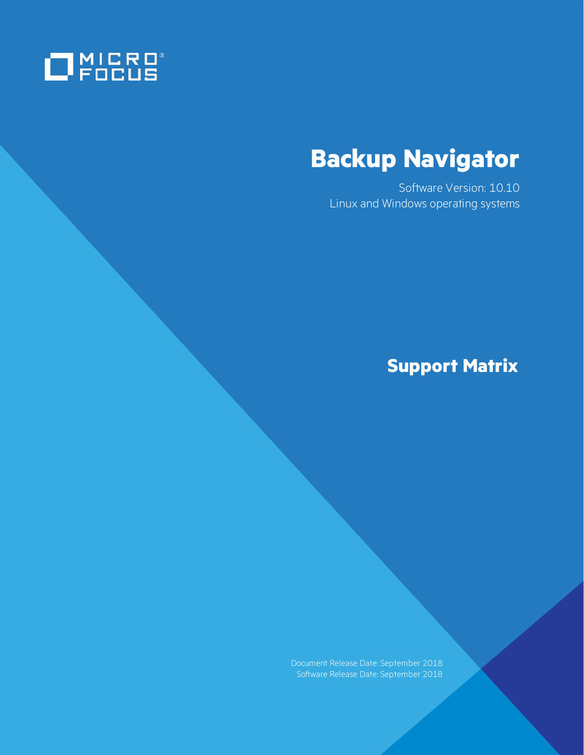

# **Backup Navigator**

Software Version: 10.10 Linux and Windows operating systems

### **Support Matrix**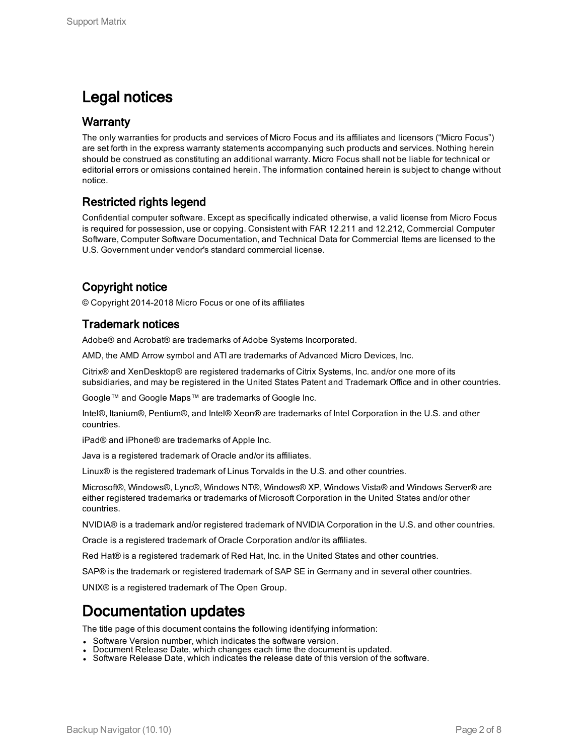#### Legal notices

#### **Warranty**

The only warranties for products and services of Micro Focus and its affiliates and licensors ("Micro Focus") are set forth in the express warranty statements accompanying such products and services. Nothing herein should be construed as constituting an additional warranty. Micro Focus shall not be liable for technical or editorial errors or omissions contained herein. The information contained herein is subject to change without notice.

#### Restricted rights legend

Confidential computer software. Except as specifically indicated otherwise, a valid license from Micro Focus is required for possession, use or copying. Consistent with FAR 12.211 and 12.212, Commercial Computer Software, Computer Software Documentation, and Technical Data for Commercial Items are licensed to the U.S. Government under vendor's standard commercial license.

#### Copyright notice

© Copyright 2014-2018 Micro Focus or one of its affiliates

#### Trademark notices

Adobe® and Acrobat® are trademarks of Adobe Systems Incorporated.

AMD, the AMD Arrow symbol and ATI are trademarks of Advanced Micro Devices, Inc.

Citrix® and XenDesktop® are registered trademarks of Citrix Systems, Inc. and/or one more of its subsidiaries, and may be registered in the United States Patent and Trademark Office and in other countries.

Google™ and Google Maps™ are trademarks of Google Inc.

Intel®, Itanium®, Pentium®, and Intel® Xeon® are trademarks of Intel Corporation in the U.S. and other countries.

iPad® and iPhone® are trademarks of Apple Inc.

Java is a registered trademark of Oracle and/or its affiliates.

Linux® is the registered trademark of Linus Torvalds in the U.S. and other countries.

Microsoft®, Windows®, Lync®, Windows NT®, Windows® XP, Windows Vista® and Windows Server® are either registered trademarks or trademarks of Microsoft Corporation in the United States and/or other countries.

NVIDIA® is a trademark and/or registered trademark of NVIDIA Corporation in the U.S. and other countries.

Oracle is a registered trademark of Oracle Corporation and/or its affiliates.

Red Hat® is a registered trademark of Red Hat, Inc. in the United States and other countries.

SAP® is the trademark or registered trademark of SAP SE in Germany and in several other countries.

UNIX® is a registered trademark of The Open Group.

#### Documentation updates

The title page of this document contains the following identifying information:

- Software Version number, which indicates the software version.
- Document Release Date, which changes each time the document is updated.
- Software Release Date, which indicates the release date of this version of the software.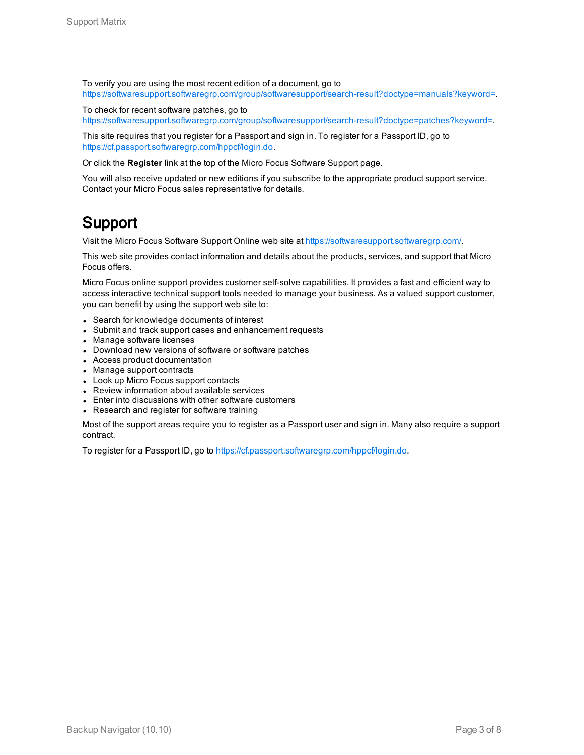To verify you are using the most recent edition of a document, go to [https://softwaresupport.softwaregrp.com/group/softwaresupport/search-result?doctype=manuals?keyword=.](https://softwaresupport.softwaregrp.com/group/softwaresupport/search-result?doctype=manuals?keyword=)

To check for recent software patches, go to [https://softwaresupport.softwaregrp.com/group/softwaresupport/search-result?doctype=patches?keyword=.](https://softwaresupport.softwaregrp.com/group/softwaresupport/search-result?doctype=patches?keyword=)

This site requires that you register for a Passport and sign in. To register for a Passport ID, go to <https://cf.passport.softwaregrp.com/hppcf/login.do>.

Or click the **Register** link at the top of the Micro Focus Software Support page.

You will also receive updated or new editions if you subscribe to the appropriate product support service. Contact your Micro Focus sales representative for details.

#### Support

Visit the Micro Focus Software Support Online web site at [https://softwaresupport.softwaregrp.com/.](https://softwaresupport.softwaregrp.com/)

This web site provides contact information and details about the products, services, and support that Micro Focus offers.

Micro Focus online support provides customer self-solve capabilities. It provides a fast and efficient way to access interactive technical support tools needed to manage your business. As a valued support customer, you can benefit by using the support web site to:

- Search for knowledge documents of interest
- Submit and track support cases and enhancement requests
- Manage software licenses
- Download new versions of software or software patches
- Access product documentation
- Manage support contracts
- Look up Micro Focus support contacts
- Review information about available services
- Enter into discussions with other software customers
- Research and register for software training

Most of the support areas require you to register as a Passport user and sign in. Many also require a support contract.

To register for a Passport ID, go to [https://cf.passport.softwaregrp.com/hppcf/login.do.](https://cf.passport.softwaregrp.com/hppcf/login.do)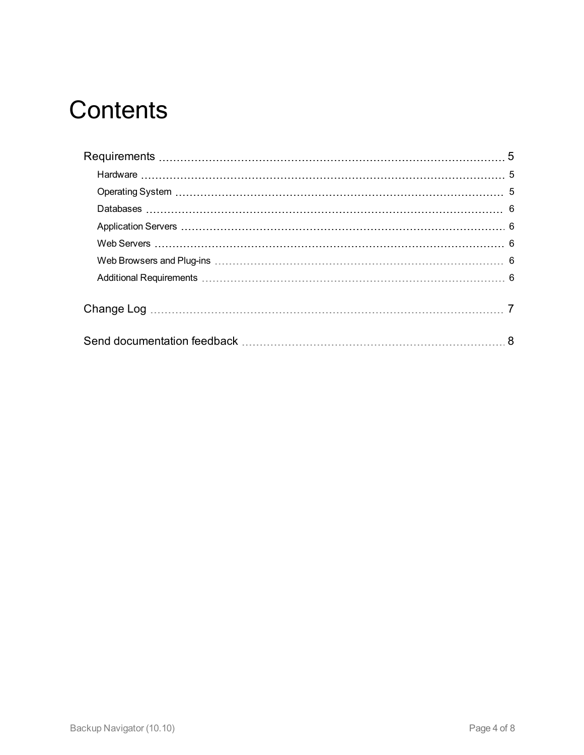# **Contents**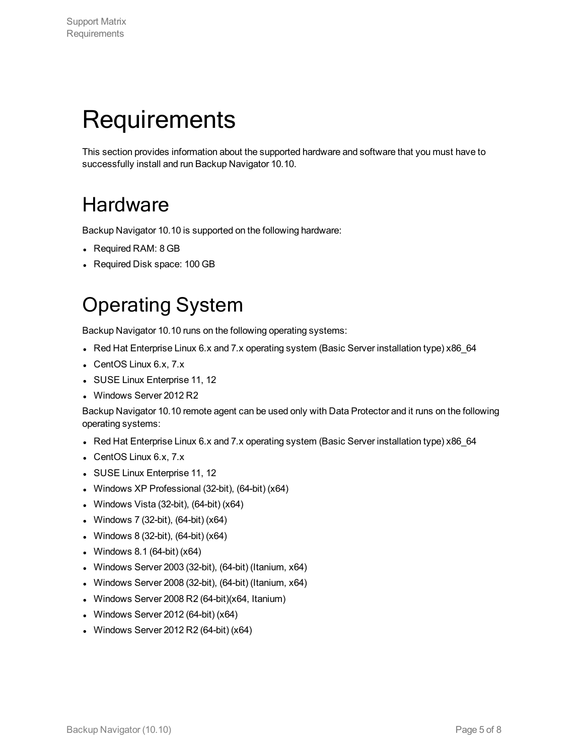## <span id="page-4-0"></span>**Requirements**

This section provides information about the supported hardware and software that you must have to successfully install and run Backup Navigator 10.10.

### <span id="page-4-1"></span>Hardware

Backup Navigator 10.10 is supported on the following hardware:

- Required RAM: 8 GB
- <span id="page-4-2"></span>• Required Disk space: 100 GB

### Operating System

Backup Navigator 10.10 runs on the following operating systems:

- Red Hat Enterprise Linux 6.x and 7.x operating system (Basic Server installation type) x86\_64
- CentOS Linux  $6.x$ ,  $7.x$
- SUSE Linux Enterprise 11, 12
- Windows Server 2012 R2

Backup Navigator 10.10 remote agent can be used only with Data Protector and it runs on the following operating systems:

- Red Hat Enterprise Linux 6.x and 7.x operating system (Basic Server installation type) x86\_64
- $\bullet$  CentOS Linux 6.x, 7.x
- SUSE Linux Enterprise 11, 12
- Windows XP Professional (32-bit),  $(64$ -bit)  $(x64)$
- Windows Vista (32-bit),  $(64$ -bit)  $(x64)$
- Windows 7 (32-bit),  $(64$ -bit)  $(x64)$
- Windows 8 (32-bit),  $(64$ -bit)  $(x64)$
- Windows 8.1 (64-bit)  $(x64)$
- Windows Server 2003 (32-bit),  $(64$ -bit) (Itanium,  $x64$ )
- Windows Server 2008 (32-bit),  $(64$ -bit) (Itanium,  $x64$ )
- Windows Server 2008 R2  $(64$ -bit $)(x64, It$ anium)
- Windows Server 2012 (64-bit)  $(x64)$
- Windows Server 2012 R2 (64-bit)  $(x64)$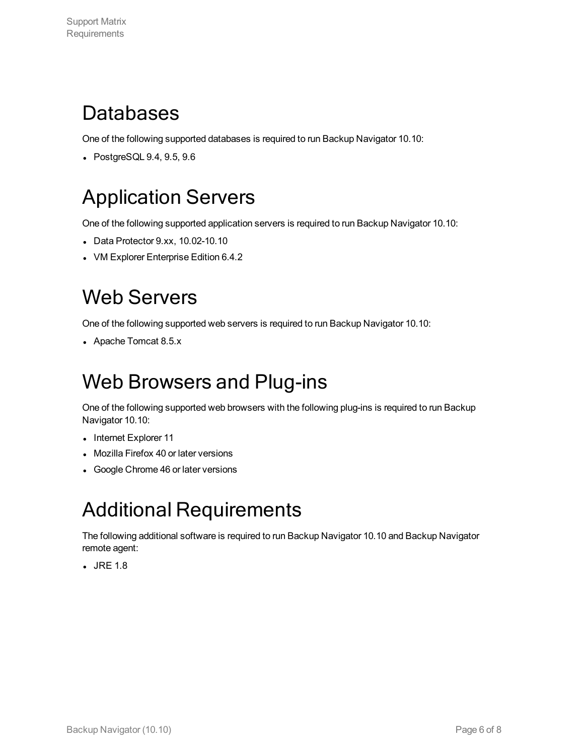### <span id="page-5-0"></span>Databases

One of the following supported databases is required to run Backup Navigator 10.10:

<span id="page-5-1"></span>• PostgreSQL 9.4, 9.5, 9.6

## Application Servers

One of the following supported application servers is required to run Backup Navigator 10.10:

- Data Protector  $9.xx$ ,  $10.02-10.10$
- <span id="page-5-2"></span>• VM Explorer Enterprise Edition 6.4.2

## Web Servers

One of the following supported web servers is required to run Backup Navigator 10.10:

<span id="page-5-3"></span>• Apache Tomcat 8.5.x

### Web Browsers and Plug-ins

One of the following supported web browsers with the following plug-ins is required to run Backup Navigator 10.10:

- Internet Explorer 11
- Mozilla Firefox 40 or later versions
- <span id="page-5-4"></span>• Google Chrome 46 or later versions

## Additional Requirements

The following additional software is required to run Backup Navigator 10.10 and Backup Navigator remote agent:

 $\cdot$  JRE 1.8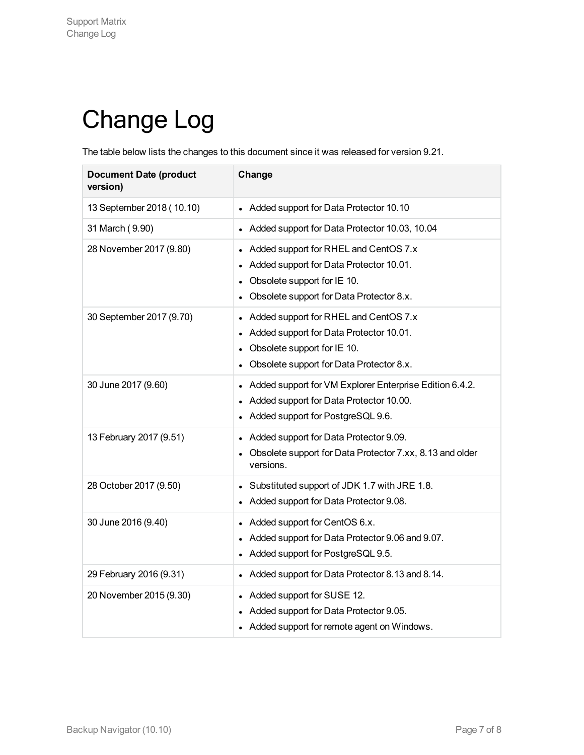# <span id="page-6-0"></span>Change Log

The table below lists the changes to this document since it was released for version 9.21.

| <b>Document Date (product</b><br>version) | Change                                                                                                                                                      |
|-------------------------------------------|-------------------------------------------------------------------------------------------------------------------------------------------------------------|
| 13 September 2018 (10.10)                 | • Added support for Data Protector 10.10                                                                                                                    |
| 31 March (9.90)                           | Added support for Data Protector 10.03, 10.04                                                                                                               |
| 28 November 2017 (9.80)                   | Added support for RHEL and CentOS 7.x<br>Added support for Data Protector 10.01.<br>Obsolete support for IE 10.<br>Obsolete support for Data Protector 8.x. |
| 30 September 2017 (9.70)                  | Added support for RHEL and CentOS 7.x<br>Added support for Data Protector 10.01.<br>Obsolete support for IE 10.<br>Obsolete support for Data Protector 8.x. |
| 30 June 2017 (9.60)                       | Added support for VM Explorer Enterprise Edition 6.4.2.<br>Added support for Data Protector 10.00.<br>Added support for PostgreSQL 9.6.                     |
| 13 February 2017 (9.51)                   | Added support for Data Protector 9.09.<br>Obsolete support for Data Protector 7.xx, 8.13 and older<br>versions.                                             |
| 28 October 2017 (9.50)                    | Substituted support of JDK 1.7 with JRE 1.8.<br>Added support for Data Protector 9.08.                                                                      |
| 30 June 2016 (9.40)                       | Added support for CentOS 6.x.<br>Added support for Data Protector 9.06 and 9.07.<br>Added support for PostgreSQL 9.5.                                       |
| 29 February 2016 (9.31)                   | Added support for Data Protector 8.13 and 8.14.                                                                                                             |
| 20 November 2015 (9.30)                   | Added support for SUSE 12.<br>Added support for Data Protector 9.05.<br>Added support for remote agent on Windows.                                          |